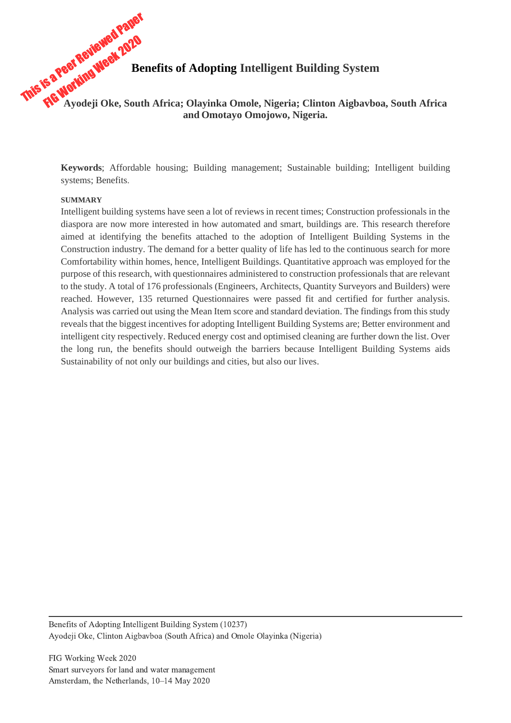# This is a Peer Reviewed Paper<br>This is a Peer Reviewed 2020<br>FIG Working Week 2020 **Benefits of Adopting Intelligent Building System**<br>**Reader of Adopting Intelligent Building System Ayodeji Oke, South Africa; Olayinka Omole, Nigeria; Clinton Aigbavboa, South Africa and Omotayo Omojowo, Nigeria.**

**Keywords**; Affordable housing; Building management; Sustainable building; Intelligent building systems; Benefits.

#### **SUMMARY**

Intelligent building systems have seen a lot of reviews in recent times; Construction professionals in the diaspora are now more interested in how automated and smart, buildings are. This research therefore aimed at identifying the benefits attached to the adoption of Intelligent Building Systems in the Construction industry. The demand for a better quality of life has led to the continuous search for more Comfortability within homes, hence, Intelligent Buildings. Quantitative approach was employed for the purpose of this research, with questionnaires administered to construction professionals that are relevant to the study. A total of 176 professionals (Engineers, Architects, Quantity Surveyors and Builders) were reached. However, 135 returned Questionnaires were passed fit and certified for further analysis. Analysis was carried out using the Mean Item score and standard deviation. The findings from this study reveals that the biggest incentives for adopting Intelligent Building Systems are; Better environment and intelligent city respectively. Reduced energy cost and optimised cleaning are further down the list. Over the long run, the benefits should outweigh the barriers because Intelligent Building Systems aids Sustainability of not only our buildings and cities, but also our lives.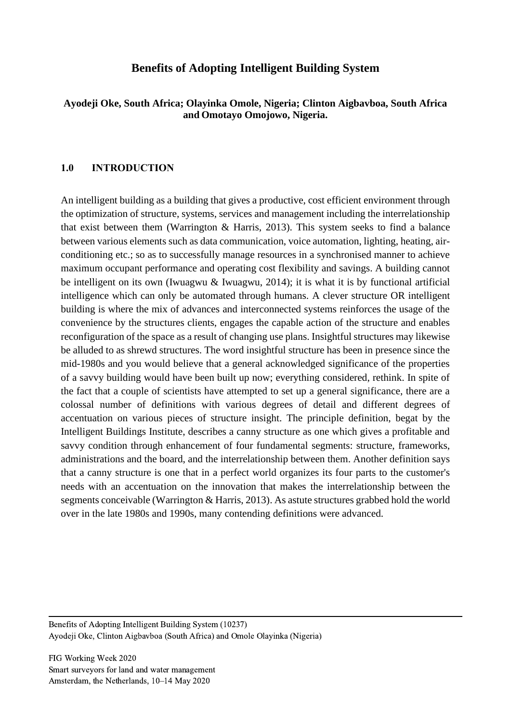## **Benefits of Adopting Intelligent Building System**

## **Ayodeji Oke, South Africa; Olayinka Omole, Nigeria; Clinton Aigbavboa, South Africa and Omotayo Omojowo, Nigeria.**

## **1.0 INTRODUCTION**

An intelligent building as a building that gives a productive, cost efficient environment through the optimization of structure, systems, services and management including the interrelationship that exist between them (Warrington & Harris, 2013). This system seeks to find a balance between various elements such as data communication, voice automation, lighting, heating, airconditioning etc.; so as to successfully manage resources in a synchronised manner to achieve maximum occupant performance and operating cost flexibility and savings. A building cannot be intelligent on its own (Iwuagwu & Iwuagwu, 2014); it is what it is by functional artificial intelligence which can only be automated through humans. A clever structure OR intelligent building is where the mix of advances and interconnected systems reinforces the usage of the convenience by the structures clients, engages the capable action of the structure and enables reconfiguration of the space as a result of changing use plans. Insightful structures may likewise be alluded to as shrewd structures. The word insightful structure has been in presence since the mid-1980s and you would believe that a general acknowledged significance of the properties of a savvy building would have been built up now; everything considered, rethink. In spite of the fact that a couple of scientists have attempted to set up a general significance, there are a colossal number of definitions with various degrees of detail and different degrees of accentuation on various pieces of structure insight. The principle definition, begat by the Intelligent Buildings Institute, describes a canny structure as one which gives a profitable and savvy condition through enhancement of four fundamental segments: structure, frameworks, administrations and the board, and the interrelationship between them. Another definition says that a canny structure is one that in a perfect world organizes its four parts to the customer's needs with an accentuation on the innovation that makes the interrelationship between the segments conceivable (Warrington & Harris, 2013). As astute structures grabbed hold the world over in the late 1980s and 1990s, many contending definitions were advanced.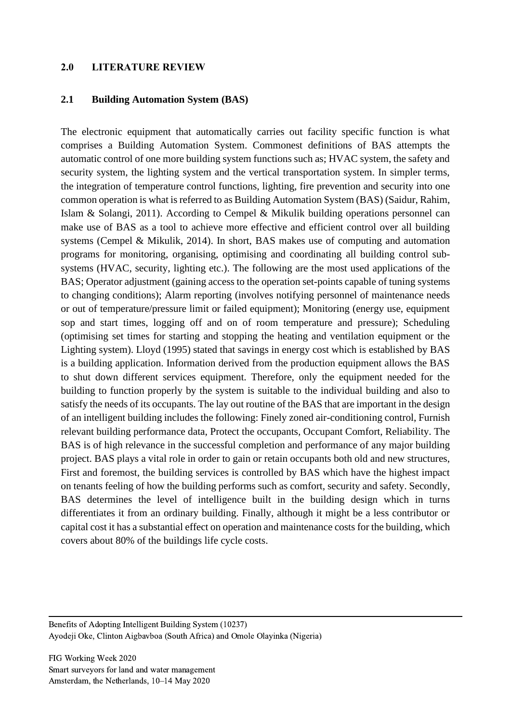#### **2.0 LITERATURE REVIEW**

#### **2.1 Building Automation System (BAS)**

The electronic equipment that automatically carries out facility specific function is what comprises a Building Automation System. Commonest definitions of BAS attempts the automatic control of one more building system functions such as; HVAC system, the safety and security system, the lighting system and the vertical transportation system. In simpler terms, the integration of temperature control functions, lighting, fire prevention and security into one common operation is what is referred to as Building Automation System (BAS) (Saidur, Rahim, Islam & Solangi, 2011). According to Cempel & Mikulik building operations personnel can make use of BAS as a tool to achieve more effective and efficient control over all building systems (Cempel & Mikulik, 2014). In short, BAS makes use of computing and automation programs for monitoring, organising, optimising and coordinating all building control subsystems (HVAC, security, lighting etc.). The following are the most used applications of the BAS; Operator adjustment (gaining access to the operation set-points capable of tuning systems to changing conditions); Alarm reporting (involves notifying personnel of maintenance needs or out of temperature/pressure limit or failed equipment); Monitoring (energy use, equipment sop and start times, logging off and on of room temperature and pressure); Scheduling (optimising set times for starting and stopping the heating and ventilation equipment or the Lighting system). Lloyd (1995) stated that savings in energy cost which is established by BAS is a building application. Information derived from the production equipment allows the BAS to shut down different services equipment. Therefore, only the equipment needed for the building to function properly by the system is suitable to the individual building and also to satisfy the needs of its occupants. The lay out routine of the BAS that are important in the design of an intelligent building includes the following: Finely zoned air-conditioning control, Furnish relevant building performance data, Protect the occupants, Occupant Comfort, Reliability. The BAS is of high relevance in the successful completion and performance of any major building project. BAS plays a vital role in order to gain or retain occupants both old and new structures, First and foremost, the building services is controlled by BAS which have the highest impact on tenants feeling of how the building performs such as comfort, security and safety. Secondly, BAS determines the level of intelligence built in the building design which in turns differentiates it from an ordinary building. Finally, although it might be a less contributor or capital cost it has a substantial effect on operation and maintenance costs for the building, which covers about 80% of the buildings life cycle costs.

Benefits of Adopting Intelligent Building System (10237) Ayodeji Oke, Clinton Aigbavboa (South Africa) and Omole Olayinka (Nigeria)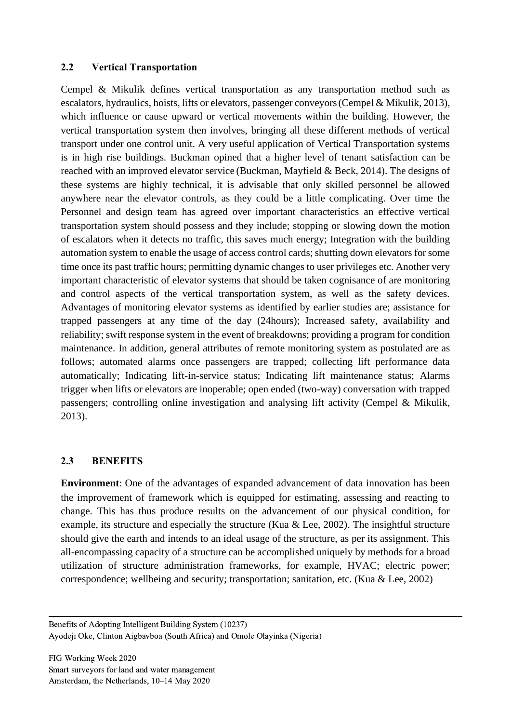## **2.2 Vertical Transportation**

Cempel & Mikulik defines vertical transportation as any transportation method such as escalators, hydraulics, hoists, lifts or elevators, passenger conveyors(Cempel & Mikulik, 2013), which influence or cause upward or vertical movements within the building. However, the vertical transportation system then involves, bringing all these different methods of vertical transport under one control unit. A very useful application of Vertical Transportation systems is in high rise buildings. Buckman opined that a higher level of tenant satisfaction can be reached with an improved elevator service (Buckman, Mayfield & Beck, 2014). The designs of these systems are highly technical, it is advisable that only skilled personnel be allowed anywhere near the elevator controls, as they could be a little complicating. Over time the Personnel and design team has agreed over important characteristics an effective vertical transportation system should possess and they include; stopping or slowing down the motion of escalators when it detects no traffic, this saves much energy; Integration with the building automation system to enable the usage of access control cards; shutting down elevators for some time once its past traffic hours; permitting dynamic changes to user privileges etc. Another very important characteristic of elevator systems that should be taken cognisance of are monitoring and control aspects of the vertical transportation system, as well as the safety devices. Advantages of monitoring elevator systems as identified by earlier studies are; assistance for trapped passengers at any time of the day (24hours); Increased safety, availability and reliability; swift response system in the event of breakdowns; providing a program for condition maintenance. In addition, general attributes of remote monitoring system as postulated are as follows; automated alarms once passengers are trapped; collecting lift performance data automatically; Indicating lift-in-service status; Indicating lift maintenance status; Alarms trigger when lifts or elevators are inoperable; open ended (two-way) conversation with trapped passengers; controlling online investigation and analysing lift activity (Cempel & Mikulik, 2013).

## **2.3 BENEFITS**

**Environment**: One of the advantages of expanded advancement of data innovation has been the improvement of framework which is equipped for estimating, assessing and reacting to change. This has thus produce results on the advancement of our physical condition, for example, its structure and especially the structure (Kua & Lee, 2002). The insightful structure should give the earth and intends to an ideal usage of the structure, as per its assignment. This all-encompassing capacity of a structure can be accomplished uniquely by methods for a broad utilization of structure administration frameworks, for example, HVAC; electric power; correspondence; wellbeing and security; transportation; sanitation, etc. (Kua & Lee, 2002)

Benefits of Adopting Intelligent Building System (10237) Ayodeji Oke, Clinton Aigbavboa (South Africa) and Omole Olayinka (Nigeria)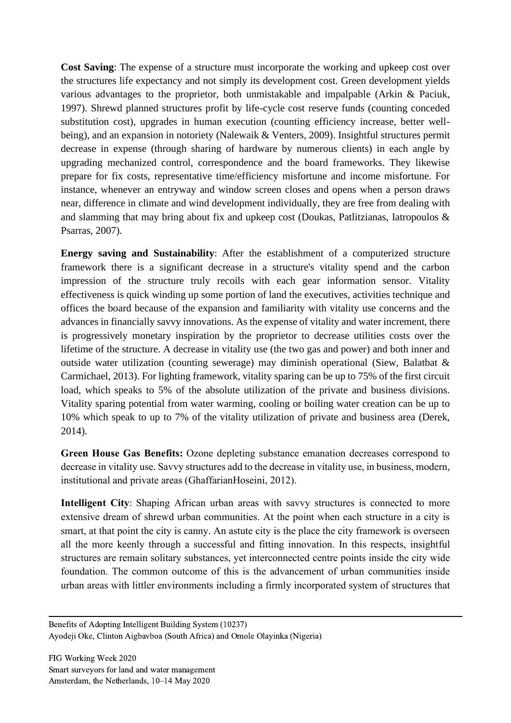**Cost Saving**: The expense of a structure must incorporate the working and upkeep cost over the structures life expectancy and not simply its development cost. Green development yields various advantages to the proprietor, both unmistakable and impalpable (Arkin & Paciuk, 1997). Shrewd planned structures profit by life-cycle cost reserve funds (counting conceded substitution cost), upgrades in human execution (counting efficiency increase, better wellbeing), and an expansion in notoriety (Nalewaik & Venters, 2009). Insightful structures permit decrease in expense (through sharing of hardware by numerous clients) in each angle by upgrading mechanized control, correspondence and the board frameworks. They likewise prepare for fix costs, representative time/efficiency misfortune and income misfortune. For instance, whenever an entryway and window screen closes and opens when a person draws near, difference in climate and wind development individually, they are free from dealing with and slamming that may bring about fix and upkeep cost (Doukas, Patlitzianas, Iatropoulos & Psarras, 2007).

**Energy saving and Sustainability**: After the establishment of a computerized structure framework there is a significant decrease in a structure's vitality spend and the carbon impression of the structure truly recoils with each gear information sensor. Vitality effectiveness is quick winding up some portion of land the executives, activities technique and offices the board because of the expansion and familiarity with vitality use concerns and the advances in financially savvy innovations. As the expense of vitality and water increment, there is progressively monetary inspiration by the proprietor to decrease utilities costs over the lifetime of the structure. A decrease in vitality use (the two gas and power) and both inner and outside water utilization (counting sewerage) may diminish operational (Siew, Balatbat & Carmichael, 2013). For lighting framework, vitality sparing can be up to 75% of the first circuit load, which speaks to 5% of the absolute utilization of the private and business divisions. Vitality sparing potential from water warming, cooling or boiling water creation can be up to 10% which speak to up to 7% of the vitality utilization of private and business area (Derek, 2014).

**Green House Gas Benefits:** Ozone depleting substance emanation decreases correspond to decrease in vitality use. Savvy structures add to the decrease in vitality use, in business, modern, institutional and private areas (GhaffarianHoseini, 2012).

**Intelligent City**: Shaping African urban areas with savvy structures is connected to more extensive dream of shrewd urban communities. At the point when each structure in a city is smart, at that point the city is canny. An astute city is the place the city framework is overseen all the more keenly through a successful and fitting innovation. In this respects, insightful structures are remain solitary substances, yet interconnected centre points inside the city wide foundation. The common outcome of this is the advancement of urban communities inside urban areas with littler environments including a firmly incorporated system of structures that

Benefits of Adopting Intelligent Building System (10237) Ayodeji Oke, Clinton Aigbavboa (South Africa) and Omole Olayinka (Nigeria)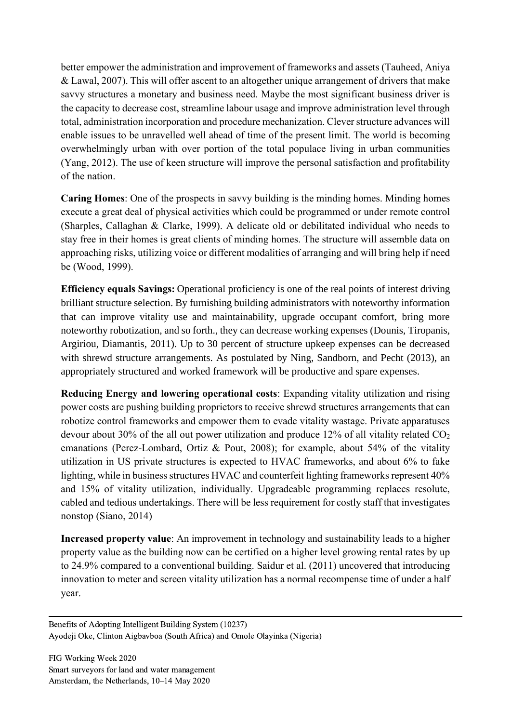better empower the administration and improvement of frameworks and assets (Tauheed, Aniya & Lawal, 2007). This will offer ascent to an altogether unique arrangement of drivers that make savvy structures a monetary and business need. Maybe the most significant business driver is the capacity to decrease cost, streamline labour usage and improve administration level through total, administration incorporation and procedure mechanization. Clever structure advances will enable issues to be unravelled well ahead of time of the present limit. The world is becoming overwhelmingly urban with over portion of the total populace living in urban communities (Yang, 2012). The use of keen structure will improve the personal satisfaction and profitability of the nation.

**Caring Homes**: One of the prospects in savvy building is the minding homes. Minding homes execute a great deal of physical activities which could be programmed or under remote control (Sharples, Callaghan & Clarke, 1999). A delicate old or debilitated individual who needs to stay free in their homes is great clients of minding homes. The structure will assemble data on approaching risks, utilizing voice or different modalities of arranging and will bring help if need be (Wood, 1999).

**Efficiency equals Savings:** Operational proficiency is one of the real points of interest driving brilliant structure selection. By furnishing building administrators with noteworthy information that can improve vitality use and maintainability, upgrade occupant comfort, bring more noteworthy robotization, and so forth., they can decrease working expenses (Dounis, Tiropanis, Argiriou, Diamantis, 2011). Up to 30 percent of structure upkeep expenses can be decreased with shrewd structure arrangements. As postulated by Ning, Sandborn, and Pecht (2013), an appropriately structured and worked framework will be productive and spare expenses.

**Reducing Energy and lowering operational costs**: Expanding vitality utilization and rising power costs are pushing building proprietors to receive shrewd structures arrangements that can robotize control frameworks and empower them to evade vitality wastage. Private apparatuses devour about 30% of the all out power utilization and produce 12% of all vitality related  $CO<sub>2</sub>$ emanations (Perez-Lombard, Ortiz & Pout, 2008); for example, about 54% of the vitality utilization in US private structures is expected to HVAC frameworks, and about 6% to fake lighting, while in business structures HVAC and counterfeit lighting frameworks represent 40% and 15% of vitality utilization, individually. Upgradeable programming replaces resolute, cabled and tedious undertakings. There will be less requirement for costly staff that investigates nonstop (Siano, 2014)

**Increased property value**: An improvement in technology and sustainability leads to a higher property value as the building now can be certified on a higher level growing rental rates by up to 24.9% compared to a conventional building. Saidur et al. (2011) uncovered that introducing innovation to meter and screen vitality utilization has a normal recompense time of under a half year.

Benefits of Adopting Intelligent Building System (10237) Ayodeji Oke, Clinton Aigbavboa (South Africa) and Omole Olayinka (Nigeria)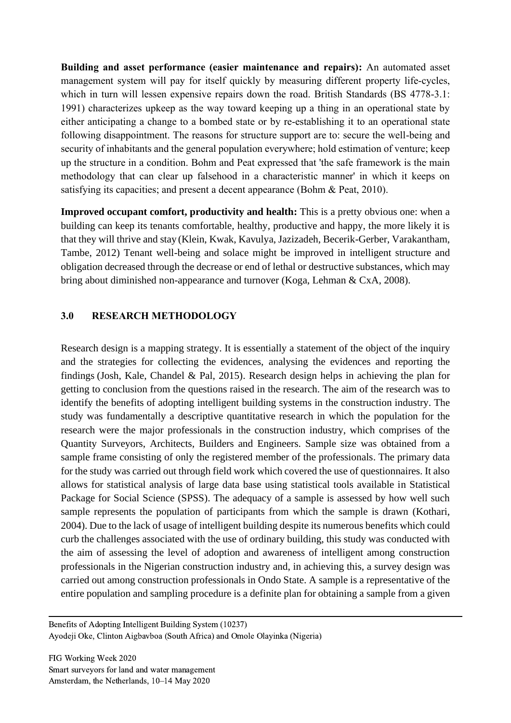**Building and asset performance (easier maintenance and repairs):** An automated asset management system will pay for itself quickly by measuring different property life-cycles, which in turn will lessen expensive repairs down the road. British Standards (BS 4778-3.1: 1991) characterizes upkeep as the way toward keeping up a thing in an operational state by either anticipating a change to a bombed state or by re-establishing it to an operational state following disappointment. The reasons for structure support are to: secure the well-being and security of inhabitants and the general population everywhere; hold estimation of venture; keep up the structure in a condition. Bohm and Peat expressed that 'the safe framework is the main methodology that can clear up falsehood in a characteristic manner' in which it keeps on satisfying its capacities; and present a decent appearance (Bohm & Peat, 2010).

**Improved occupant comfort, productivity and health:** This is a pretty obvious one: when a building can keep its tenants comfortable, healthy, productive and happy, the more likely it is that they will thrive and stay (Klein, Kwak, Kavulya, Jazizadeh, Becerik-Gerber, Varakantham, Tambe, 2012) Tenant well-being and solace might be improved in intelligent structure and obligation decreased through the decrease or end of lethal or destructive substances, which may bring about diminished non-appearance and turnover (Koga, Lehman & CxA, 2008).

## **3.0 RESEARCH METHODOLOGY**

Research design is a mapping strategy. It is essentially a statement of the object of the inquiry and the strategies for collecting the evidences, analysing the evidences and reporting the findings (Josh, Kale, Chandel & Pal, 2015). Research design helps in achieving the plan for getting to conclusion from the questions raised in the research. The aim of the research was to identify the benefits of adopting intelligent building systems in the construction industry. The study was fundamentally a descriptive quantitative research in which the population for the research were the major professionals in the construction industry, which comprises of the Quantity Surveyors, Architects, Builders and Engineers. Sample size was obtained from a sample frame consisting of only the registered member of the professionals. The primary data for the study was carried out through field work which covered the use of questionnaires. It also allows for statistical analysis of large data base using statistical tools available in Statistical Package for Social Science (SPSS). The adequacy of a sample is assessed by how well such sample represents the population of participants from which the sample is drawn (Kothari, 2004). Due to the lack of usage of intelligent building despite its numerous benefits which could curb the challenges associated with the use of ordinary building, this study was conducted with the aim of assessing the level of adoption and awareness of intelligent among construction professionals in the Nigerian construction industry and, in achieving this, a survey design was carried out among construction professionals in Ondo State. A sample is a representative of the entire population and sampling procedure is a definite plan for obtaining a sample from a given

Benefits of Adopting Intelligent Building System (10237) Ayodeji Oke, Clinton Aigbavboa (South Africa) and Omole Olayinka (Nigeria)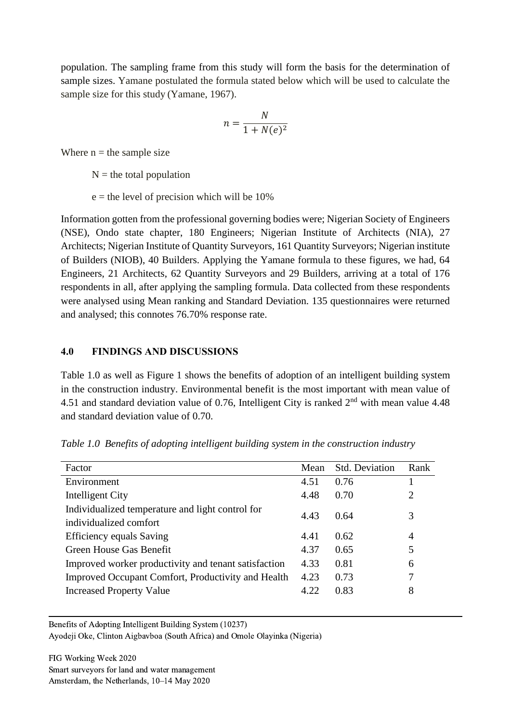population. The sampling frame from this study will form the basis for the determination of sample sizes. Yamane postulated the formula stated below which will be used to calculate the sample size for this study (Yamane, 1967).

$$
n = \frac{N}{1 + N(e)^2}
$$

Where  $n =$  the sample size

 $N =$  the total population

 $e$  = the level of precision which will be 10%

Information gotten from the professional governing bodies were; Nigerian Society of Engineers (NSE), Ondo state chapter, 180 Engineers; Nigerian Institute of Architects (NIA), 27 Architects; Nigerian Institute of Quantity Surveyors, 161 Quantity Surveyors; Nigerian institute of Builders (NIOB), 40 Builders. Applying the Yamane formula to these figures, we had, 64 Engineers, 21 Architects, 62 Quantity Surveyors and 29 Builders, arriving at a total of 176 respondents in all, after applying the sampling formula. Data collected from these respondents were analysed using Mean ranking and Standard Deviation. 135 questionnaires were returned and analysed; this connotes 76.70% response rate.

## **4.0 FINDINGS AND DISCUSSIONS**

Table 1.0 as well as Figure 1 shows the benefits of adoption of an intelligent building system in the construction industry. Environmental benefit is the most important with mean value of 4.51 and standard deviation value of 0.76, Intelligent City is ranked 2<sup>nd</sup> with mean value 4.48 and standard deviation value of 0.70.

| Factor                                               | Mean | Std. Deviation | Rank |
|------------------------------------------------------|------|----------------|------|
| Environment                                          | 4.51 | 0.76           |      |
| Intelligent City                                     | 4.48 | 0.70           | 2    |
| Individualized temperature and light control for     | 4.43 | 0.64           | 3    |
| individualized comfort                               |      |                |      |
| <b>Efficiency equals Saving</b>                      | 4.41 | 0.62           | 4    |
| Green House Gas Benefit                              | 4.37 | 0.65           | 5    |
| Improved worker productivity and tenant satisfaction | 4.33 | 0.81           | 6    |
| Improved Occupant Comfort, Productivity and Health   | 4.23 | 0.73           | 7    |
| <b>Increased Property Value</b>                      | 4.22 | 0.83           | 8    |
|                                                      |      |                |      |

*Table 1.0 Benefits of adopting intelligent building system in the construction industry*

Benefits of Adopting Intelligent Building System (10237)

Ayodeji Oke, Clinton Aigbavboa (South Africa) and Omole Olayinka (Nigeria)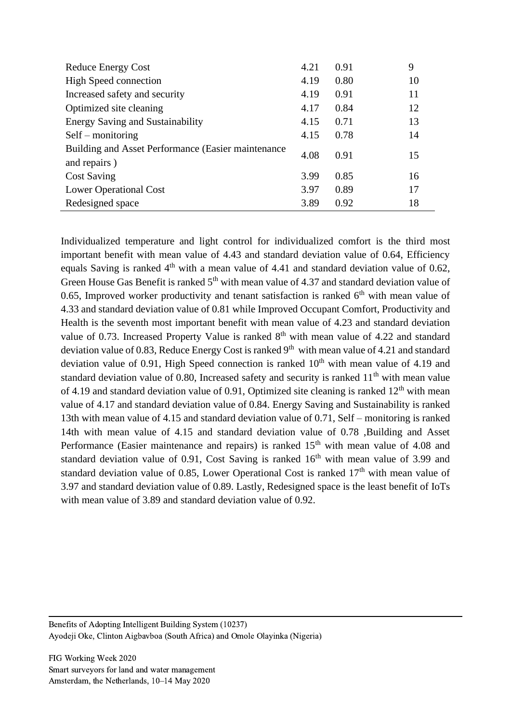| <b>Reduce Energy Cost</b>                           | 4.21 | 0.91 | 9  |
|-----------------------------------------------------|------|------|----|
| <b>High Speed connection</b>                        | 4.19 | 0.80 | 10 |
| Increased safety and security                       | 4.19 | 0.91 | 11 |
| Optimized site cleaning                             | 4.17 | 0.84 | 12 |
| <b>Energy Saving and Sustainability</b>             | 4.15 | 0.71 | 13 |
| $Self$ – monitoring                                 | 4.15 | 0.78 | 14 |
| Building and Asset Performance (Easier maintenance) | 4.08 | 0.91 | 15 |
| and repairs)                                        |      |      |    |
| <b>Cost Saving</b>                                  | 3.99 | 0.85 | 16 |
| <b>Lower Operational Cost</b>                       | 3.97 | 0.89 | 17 |
| Redesigned space                                    | 3.89 | 0.92 | 18 |

Individualized temperature and light control for individualized comfort is the third most important benefit with mean value of 4.43 and standard deviation value of 0.64, Efficiency equals Saving is ranked  $4<sup>th</sup>$  with a mean value of 4.41 and standard deviation value of 0.62, Green House Gas Benefit is ranked  $5<sup>th</sup>$  with mean value of 4.37 and standard deviation value of 0.65, Improved worker productivity and tenant satisfaction is ranked  $6<sup>th</sup>$  with mean value of 4.33 and standard deviation value of 0.81 while Improved Occupant Comfort, Productivity and Health is the seventh most important benefit with mean value of 4.23 and standard deviation value of 0.73. Increased Property Value is ranked  $8<sup>th</sup>$  with mean value of 4.22 and standard deviation value of 0.83, Reduce Energy Cost is ranked  $9<sup>th</sup>$  with mean value of 4.21 and standard deviation value of 0.91. High Speed connection is ranked  $10<sup>th</sup>$  with mean value of 4.19 and standard deviation value of 0.80, Increased safety and security is ranked  $11<sup>th</sup>$  with mean value of 4.19 and standard deviation value of 0.91, Optimized site cleaning is ranked  $12<sup>th</sup>$  with mean value of 4.17 and standard deviation value of 0.84. Energy Saving and Sustainability is ranked 13th with mean value of 4.15 and standard deviation value of 0.71, Self – monitoring is ranked 14th with mean value of 4.15 and standard deviation value of 0.78 ,Building and Asset Performance (Easier maintenance and repairs) is ranked  $15<sup>th</sup>$  with mean value of 4.08 and standard deviation value of 0.91, Cost Saving is ranked  $16<sup>th</sup>$  with mean value of 3.99 and standard deviation value of 0.85, Lower Operational Cost is ranked  $17<sup>th</sup>$  with mean value of 3.97 and standard deviation value of 0.89. Lastly, Redesigned space is the least benefit of IoTs with mean value of 3.89 and standard deviation value of 0.92.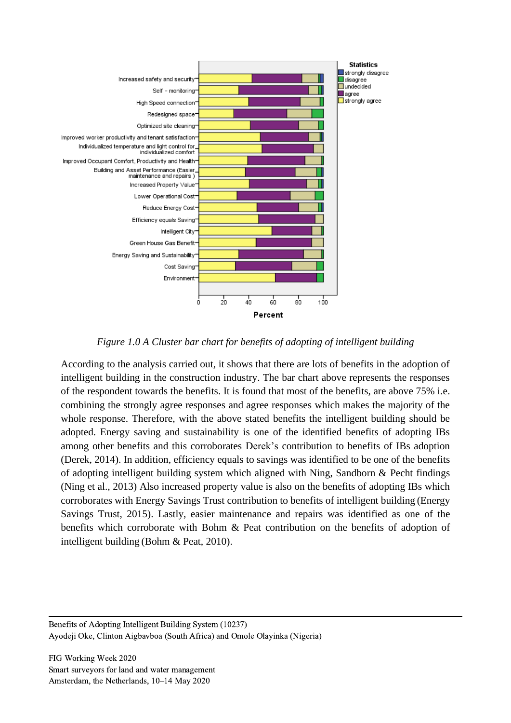

*Figure 1.0 A Cluster bar chart for benefits of adopting of intelligent building*

According to the analysis carried out, it shows that there are lots of benefits in the adoption of intelligent building in the construction industry. The bar chart above represents the responses of the respondent towards the benefits. It is found that most of the benefits, are above 75% i.e. combining the strongly agree responses and agree responses which makes the majority of the whole response. Therefore, with the above stated benefits the intelligent building should be adopted. Energy saving and sustainability is one of the identified benefits of adopting IBs among other benefits and this corroborates Derek's contribution to benefits of IBs adoption (Derek, 2014). In addition, efficiency equals to savings was identified to be one of the benefits of adopting intelligent building system which aligned with Ning, Sandborn & Pecht findings (Ning et al., 2013) Also increased property value is also on the benefits of adopting IBs which corroborates with Energy Savings Trust contribution to benefits of intelligent building (Energy Savings Trust, 2015). Lastly, easier maintenance and repairs was identified as one of the benefits which corroborate with Bohm & Peat contribution on the benefits of adoption of intelligent building (Bohm & Peat, 2010).

Benefits of Adopting Intelligent Building System (10237) Ayodeji Oke, Clinton Aigbavboa (South Africa) and Omole Olayinka (Nigeria)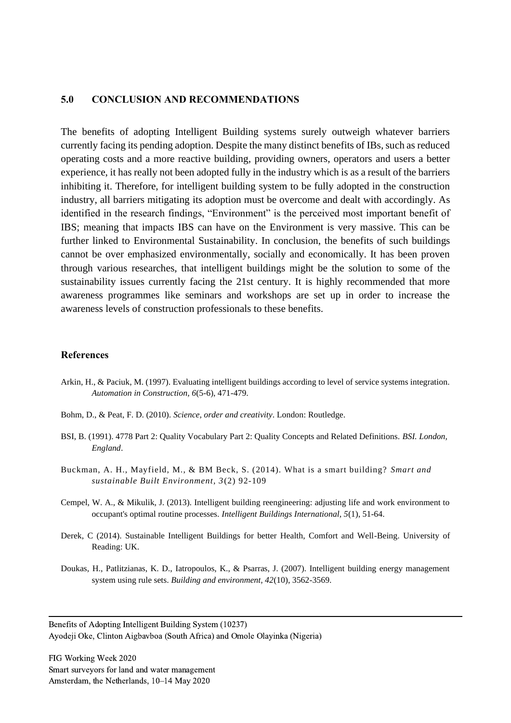#### **5.0 CONCLUSION AND RECOMMENDATIONS**

The benefits of adopting Intelligent Building systems surely outweigh whatever barriers currently facing its pending adoption. Despite the many distinct benefits of IBs, such as reduced operating costs and a more reactive building, providing owners, operators and users a better experience, it has really not been adopted fully in the industry which is as a result of the barriers inhibiting it. Therefore, for intelligent building system to be fully adopted in the construction industry, all barriers mitigating its adoption must be overcome and dealt with accordingly. As identified in the research findings, "Environment" is the perceived most important benefit of IBS; meaning that impacts IBS can have on the Environment is very massive. This can be further linked to Environmental Sustainability. In conclusion, the benefits of such buildings cannot be over emphasized environmentally, socially and economically. It has been proven through various researches, that intelligent buildings might be the solution to some of the sustainability issues currently facing the 21st century. It is highly recommended that more awareness programmes like seminars and workshops are set up in order to increase the awareness levels of construction professionals to these benefits.

#### **References**

- Arkin, H., & Paciuk, M. (1997). Evaluating intelligent buildings according to level of service systems integration. *Automation in Construction, 6*(5-6), 471-479.
- Bohm, D., & Peat, F. D. (2010). *Science, order and creativity*. London: Routledge.
- BSI, B. (1991). 4778 Part 2: Quality Vocabulary Part 2: Quality Concepts and Related Definitions. *BSI. London, England*.
- Buckman, A. H., Mayfield, M., & BM Beck, S. (2014). What is a smart building? *Smart and sustainable Built Environment, 3*(2) 92-109
- Cempel, W. A., & Mikulik, J. (2013). Intelligent building reengineering: adjusting life and work environment to occupant's optimal routine processes. *Intelligent Buildings International, 5*(1), 51-64.
- Derek, C (2014). Sustainable Intelligent Buildings for better Health, Comfort and Well-Being. University of Reading: UK.
- Doukas, H., Patlitzianas, K. D., Iatropoulos, K., & Psarras, J. (2007). Intelligent building energy management system using rule sets. *Building and environment, 42*(10), 3562-3569.

Benefits of Adopting Intelligent Building System (10237) Ayodeji Oke, Clinton Aigbavboa (South Africa) and Omole Olayinka (Nigeria)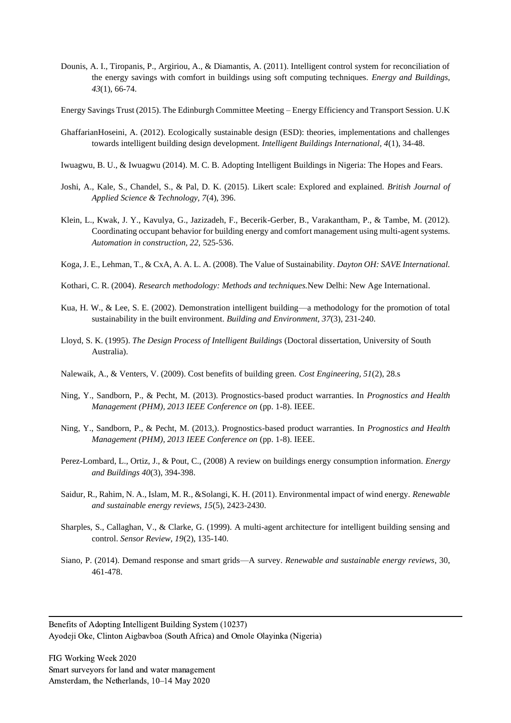- Dounis, A. I., Tiropanis, P., Argiriou, A., & Diamantis, A. (2011). Intelligent control system for reconciliation of the energy savings with comfort in buildings using soft computing techniques. *Energy and Buildings, 43*(1), 66-74.
- Energy Savings Trust (2015). The Edinburgh Committee Meeting Energy Efficiency and Transport Session. U.K
- GhaffarianHoseini, A. (2012). Ecologically sustainable design (ESD): theories, implementations and challenges towards intelligent building design development. *Intelligent Buildings International, 4*(1), 34-48.
- Iwuagwu, B. U., & Iwuagwu (2014). M. C. B. Adopting Intelligent Buildings in Nigeria: The Hopes and Fears.
- Joshi, A., Kale, S., Chandel, S., & Pal, D. K. (2015). Likert scale: Explored and explained. *British Journal of Applied Science & Technology, 7*(4), 396.
- Klein, L., Kwak, J. Y., Kavulya, G., Jazizadeh, F., Becerik-Gerber, B., Varakantham, P., & Tambe, M. (2012). Coordinating occupant behavior for building energy and comfort management using multi-agent systems. *Automation in construction, 22,* 525-536.
- Koga, J. E., Lehman, T., & CxA, A. A. L. A. (2008). The Value of Sustainability. *Dayton OH: SAVE International.*
- Kothari, C. R. (2004). *Research methodology: Methods and techniques.*New Delhi: New Age International.
- Kua, H. W., & Lee, S. E. (2002). Demonstration intelligent building—a methodology for the promotion of total sustainability in the built environment. *Building and Environment, 37*(3), 231-240.
- Lloyd, S. K. (1995). *The Design Process of Intelligent Buildings* (Doctoral dissertation, University of South Australia).
- Nalewaik, A., & Venters, V. (2009). Cost benefits of building green. *Cost Engineering, 51*(2), 28.s
- Ning, Y., Sandborn, P., & Pecht, M. (2013). Prognostics-based product warranties. In *Prognostics and Health Management (PHM), 2013 IEEE Conference on* (pp. 1-8). IEEE.
- Ning, Y., Sandborn, P., & Pecht, M. (2013,). Prognostics-based product warranties. In *Prognostics and Health Management (PHM), 2013 IEEE Conference on* (pp. 1-8). IEEE.
- Perez-Lombard, L., Ortiz, J., & Pout, C., (2008) A review on buildings energy consumption information. *Energy and Buildings 40*(3), 394-398.
- Saidur, R., Rahim, N. A., Islam, M. R., &Solangi, K. H. (2011). Environmental impact of wind energy. *Renewable and sustainable energy reviews, 15*(5), 2423-2430.
- Sharples, S., Callaghan, V., & Clarke, G. (1999). A multi-agent architecture for intelligent building sensing and control. *Sensor Review, 19*(2), 135-140.
- Siano, P. (2014). Demand response and smart grids—A survey. *Renewable and sustainable energy reviews*, 30, 461-478.

Benefits of Adopting Intelligent Building System (10237) Ayodeji Oke, Clinton Aigbavboa (South Africa) and Omole Olayinka (Nigeria)